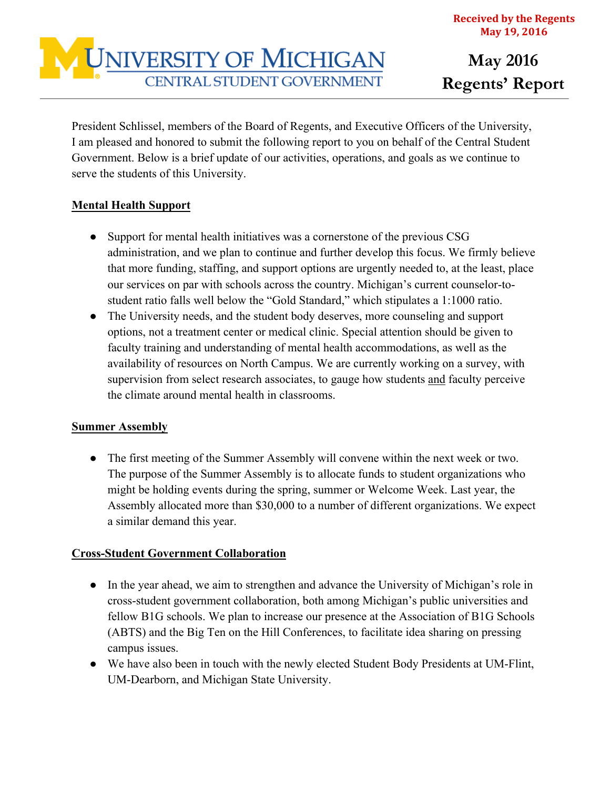

President Schlissel, members of the Board of Regents, and Executive Officers of the University, I am pleased and honored to submit the following report to you on behalf of the Central Student Government. Below is a brief update of our activities, operations, and goals as we continue to serve the students of this University.

## **Mental Health Support**

- Support for mental health initiatives was a cornerstone of the previous CSG administration, and we plan to continue and further develop this focus. We firmly believe that more funding, staffing, and support options are urgently needed to, at the least, place our services on par with schools across the country. Michigan's current counselor-tostudent ratio falls well below the "Gold Standard," which stipulates a 1:1000 ratio.
- The University needs, and the student body deserves, more counseling and support options, not a treatment center or medical clinic. Special attention should be given to faculty training and understanding of mental health accommodations, as well as the availability of resources on North Campus. We are currently working on a survey, with supervision from select research associates, to gauge how students and faculty perceive the climate around mental health in classrooms.

# **Summer Assembly**

• The first meeting of the Summer Assembly will convene within the next week or two. The purpose of the Summer Assembly is to allocate funds to student organizations who might be holding events during the spring, summer or Welcome Week. Last year, the Assembly allocated more than \$30,000 to a number of different organizations. We expect a similar demand this year.

## **Cross-Student Government Collaboration**

- In the year ahead, we aim to strengthen and advance the University of Michigan's role in cross-student government collaboration, both among Michigan's public universities and fellow B1G schools. We plan to increase our presence at the Association of B1G Schools (ABTS) and the Big Ten on the Hill Conferences, to facilitate idea sharing on pressing campus issues.
- We have also been in touch with the newly elected Student Body Presidents at UM-Flint, UM-Dearborn, and Michigan State University.